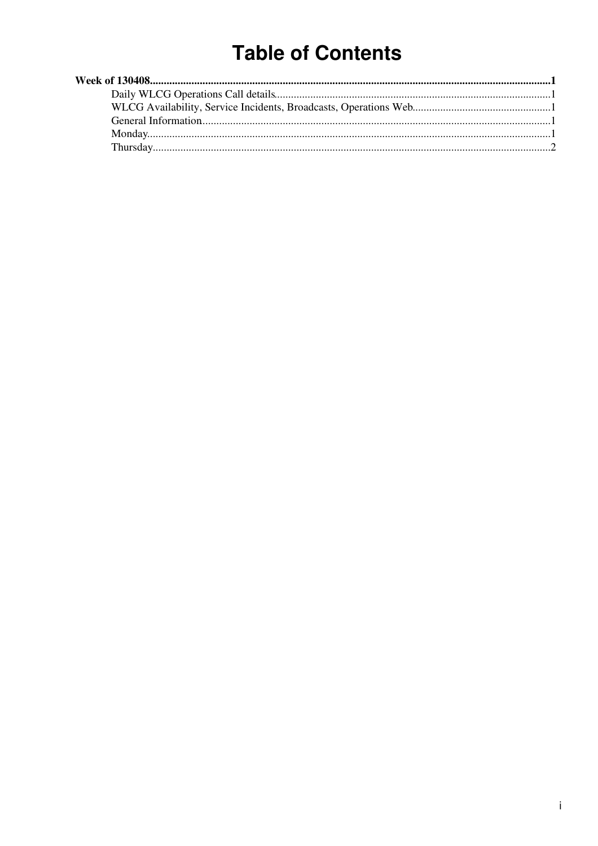# **Table of Contents**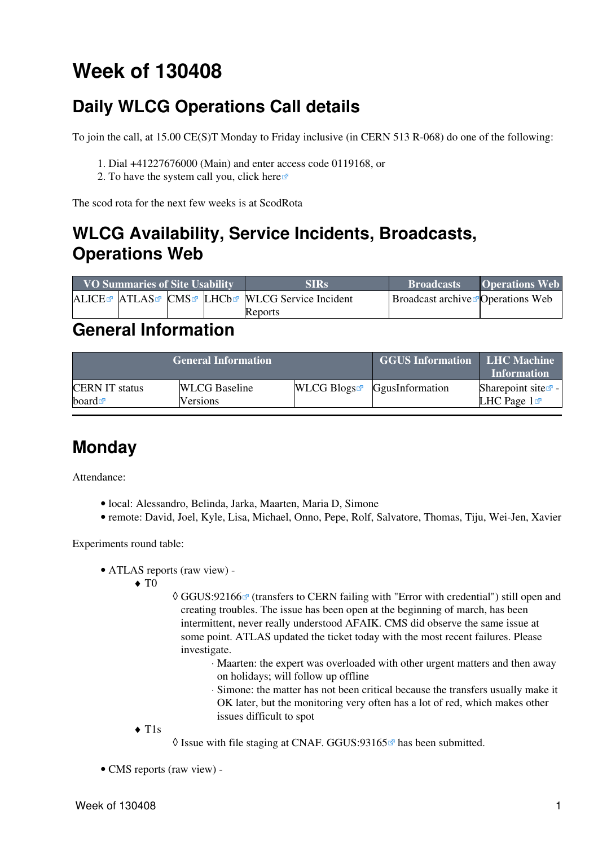# <span id="page-1-0"></span>**Week of 130408**

# <span id="page-1-1"></span>**Daily WLCG Operations Call details**

To join the call, at 15.00 CE(S)T Monday to Friday inclusive (in CERN 513 R-068) do one of the following:

- 1. Dial +41227676000 (Main) and enter access code 0119168, or
- 2. To have the system call you, click [here](https://audioconf.cern.ch/call/0119168) $\Phi$

The scod rota for the next few weeks is at [ScodRota](https://twiki.cern.ch/twiki/bin/view/LCG/ScodRota)

## <span id="page-1-2"></span>**WLCG Availability, Service Incidents, Broadcasts, Operations Web**

| <b>VO Summaries of Site Usability</b> |  |  |  | <b>SIRs</b>                                             | <b>Broadcasts</b>                         | <b>Operations Web</b> |
|---------------------------------------|--|--|--|---------------------------------------------------------|-------------------------------------------|-----------------------|
|                                       |  |  |  | ALICE ATLAS CMS LHCb <sup>R</sup> WLCG Service Incident | Broadcast archive <b>™</b> Operations Web |                       |
|                                       |  |  |  | Reports                                                 |                                           |                       |

### <span id="page-1-3"></span>**General Information**

|                       | <b>General Information</b> | <b>GGUS Information LHC Machine</b> | <b>Information</b>                        |                                |
|-----------------------|----------------------------|-------------------------------------|-------------------------------------------|--------------------------------|
| <b>CERN IT status</b> | <b>WLCG</b> Baseline       |                                     | WLCG Blogs $\blacksquare$ GgusInformation | Sharepoint site $\mathbb{F}$ - |
| board $\blacksquare$  | Versions                   |                                     |                                           | LHC Page $1\sigma$             |

## <span id="page-1-4"></span>**Monday**

Attendance:

- local: Alessandro, Belinda, Jarka, Maarten, Maria D, Simone
- remote: David, Joel, Kyle, Lisa, Michael, Onno, Pepe, Rolf, Salvatore, Thomas, Tiju, Wei-Jen, Xavier

Experiments round table:

- ATLAS [reports](https://twiki.cern.ch/twiki/bin/view/Atlas/ADCOperationsDailyReports2013) [\(raw view\)](https://twiki.cern.ch/twiki/bin/view/Atlas/ADCOperationsDailyReports2013?raw=on) •
	- $\blacklozenge$  T<sub>0</sub>
- ◊ [GGUS:92166](https://ggus.eu/ws/ticket_info.php?ticket=92166) @ (transfers to CERN failing with "Error with credential") still open and creating troubles. The issue has been open at the beginning of march, has been intermittent, never really understood AFAIK. CMS did observe the same issue at some point. ATLAS updated the ticket today with the most recent failures. Please investigate.
	- Maarten: the expert was overloaded with other urgent matters and then away ⋅ on holidays; will follow up offline
	- Simone: the matter has not been critical because the transfers usually make it ⋅ OK later, but the monitoring very often has a lot of red, which makes other issues difficult to spot
- T1s ♦
- $\Diamond$  Issue with file staging at CNAF. GGUS:93165 $\degree$  has been submitted.
- CMS [reports](https://twiki.cern.ch/twiki/bin/view/CMS/FacOps_WLCGdailyreports) ([raw view\)](https://twiki.cern.ch/twiki/bin/view/CMS/FacOps_WLCGdailyreports?raw=on) -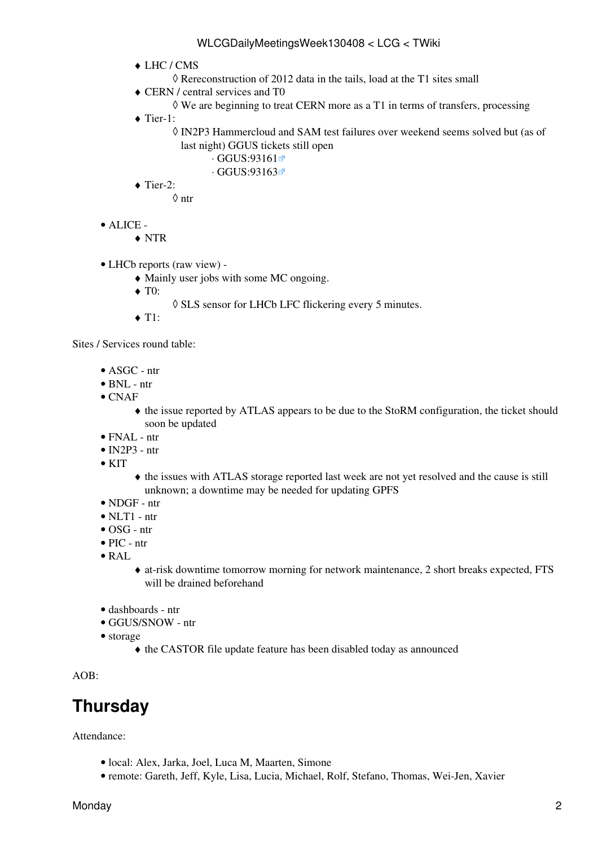- LHC / CMS ♦
	- ◊ Rereconstruction of 2012 data in the tails, load at the T1 sites small
- CERN / central services and T0 ♦
	- $\Diamond$  We are beginning to treat CERN more as a T1 in terms of transfers, processing
- ◆ Tier-1:
	- [IN2P3](https://twiki.cern.ch/twiki/bin/view/LCG/IN2P3) Hammercloud and SAM test failures over weekend seems solved but (as of ◊ last night) GGUS tickets still open
		- · [GGUS:93161](https://ggus.eu/ws/ticket_info.php?ticket=93161)<sup>™</sup>
		- ⋅ [GGUS:93163](https://ggus.eu/ws/ticket_info.php?ticket=93163)
- $\blacklozenge$  Tier-2:

◊ ntr

- ALICE •
	- ♦ NTR
- LHCb [reports](https://twiki.cern.ch/twiki/bin/view/LHCb/ProductionOperationsWLCGdailyReports) [\(raw view\)](https://twiki.cern.ch/twiki/bin/view/LHCb/ProductionOperationsWLCGdailyReports?raw=on) •
	- ♦ Mainly user jobs with some MC ongoing.
	- ◆ T<sub>0</sub>:
		- ◊ SLS sensor for LHCb LFC flickering every 5 minutes.
	- $\triangleleft$  T1:

Sites / Services round table:

- ASGC ntr
- BNL ntr
- $\bullet$  CNAF
	- the issue reported by ATLAS appears to be due to the [StoRM](https://twiki.cern.ch/twiki/bin/view/LCG/StoRM) configuration, the ticket should ♦ soon be updated
- FNAL ntr
- $\bullet$  [IN2P3](https://twiki.cern.ch/twiki/bin/view/LCG/IN2P3)  ntr
- $\bullet$  KIT
- $\bullet$  the issues with ATLAS storage reported last week are not yet resolved and the cause is still unknown; a downtime may be needed for updating GPFS
- NDGF ntr
- $\bullet$  NLT1 ntr
- OSG ntr
- PIC ntr
- [RAL](https://twiki.cern.ch/twiki/bin/view/LCG/RAL)
- at-risk downtime tomorrow morning for network maintenance, 2 short breaks expected, FTS ♦ will be drained beforehand
- dashboards ntr
- GGUS/SNOW ntr
- storage
	- ♦ the CASTOR file update feature has been disabled today as announced

AOB:

# <span id="page-2-0"></span>**Thursday**

Attendance:

- local: Alex, Jarka, Joel, Luca M, Maarten, Simone
- remote: Gareth, Jeff, Kyle, Lisa, Lucia, Michael, Rolf, Stefano, Thomas, Wei-Jen, Xavier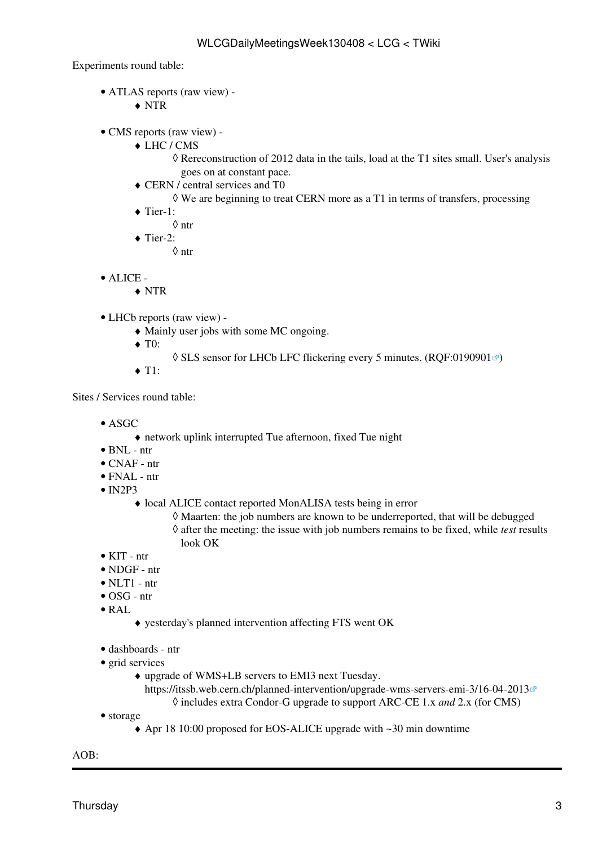Experiments round table:

- ATLAS [reports](https://twiki.cern.ch/twiki/bin/view/Atlas/ADCOperationsDailyReports2013) [\(raw view\)](https://twiki.cern.ch/twiki/bin/view/Atlas/ADCOperationsDailyReports2013?raw=on) •
	- ♦ NTR
- CMS [reports](https://twiki.cern.ch/twiki/bin/view/CMS/FacOps_WLCGdailyreports) ([raw view\)](https://twiki.cern.ch/twiki/bin/view/CMS/FacOps_WLCGdailyreports?raw=on) •
	- LHC / CMS ♦
		- Rereconstruction of 2012 data in the tails, load at the T1 sites small. User's analysis ◊ goes on at constant pace.
	- CERN / central services and T0 ♦
		- $\Diamond$  We are beginning to treat CERN more as a T1 in terms of transfers, processing
	- ◆ Tier-1:
		- ◊ ntr
	- $\blacklozenge$  Tier-2:
		- ◊ ntr
- ALICE •
	- ♦ NTR

LHCb [reports](https://twiki.cern.ch/twiki/bin/view/LHCb/ProductionOperationsWLCGdailyReports) [\(raw view\)](https://twiki.cern.ch/twiki/bin/view/LHCb/ProductionOperationsWLCGdailyReports?raw=on) - •

- ♦ Mainly user jobs with some MC ongoing.
- $\blacklozenge$  T0:
- $\Diamond$  SLS sensor for LHCb LFC flickering every 5 minutes. [\(RQF:0190901](https://cern.service-now.com/service-portal?id=ticket&n=RQF0190901) $\degree$ )
- $\triangle$  T1:

Sites / Services round table:

- ASGC
	- ♦ network uplink interrupted Tue afternoon, fixed Tue night
- BNL ntr
- CNAF ntr
- FNAL ntr
- $\bullet$  [IN2P3](https://twiki.cern.ch/twiki/bin/view/LCG/IN2P3)
	- local ALICE contact reported [MonALISA](https://twiki.cern.ch/twiki/bin/edit/LCG/MonALISA?topicparent=LCG.WLCGDailyMeetingsWeek130408;nowysiwyg=1) tests being in error ♦
		- ◊ Maarten: the job numbers are known to be underreported, that will be debugged after the meeting: the issue with job numbers remains to be fixed, while *test* results ◊ look OK
- KIT ntr
- NDGF ntr
- $\bullet$  NLT1 ntr
- OSG ntr
- [RAL](https://twiki.cern.ch/twiki/bin/view/LCG/RAL)
	- ♦ yesterday's planned intervention affecting FTS went OK
- dashboards ntr
- grid services
	- upgrade of WMS+LB servers to EMI3 next Tuesday. ♦
		- <https://itssb.web.cern.ch/planned-intervention/upgrade-wms-servers-emi-3/16-04-2013> ◊ includes extra Condor-G upgrade to support ARC-CE 1.x *and* 2.x (for CMS)
- storage
	- ♦ Apr 18 10:00 proposed for EOS-ALICE upgrade with ~30 min downtime

AOB: